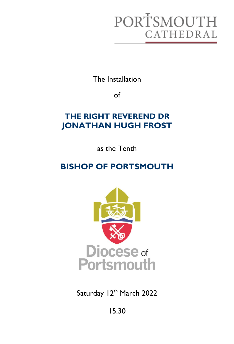

The Installation

of

# **THE RIGHT REVEREND DR JONATHAN HUGH FROST**

as the Tenth

# **BISHOP OF PORTSMOUTH**



Saturday 12<sup>th</sup> March 2022

15.30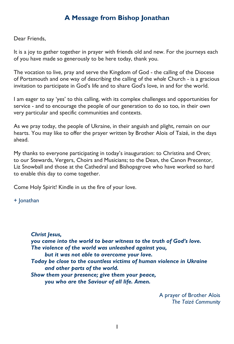# **A Message from Bishop Jonathan**

Dear Friends,

It is a joy to gather together in prayer with friends old and new. For the journeys each of you have made so generously to be here today, thank you.

The vocation to live, pray and serve the Kingdom of God - the calling of the Diocese of Portsmouth and one way of describing the calling of the *whole* Church - is a gracious invitation to participate in God's life and to share God's love, in and for the world.

I am eager to say 'yes' to this calling, with its complex challenges and opportunities for service - and to encourage the people of our generation to do so too, in their own very particular and specific communities and contexts.

As we pray today, the people of Ukraine, in their anguish and plight, remain on our hearts. You may like to offer the prayer written by Brother Alois of Taizé, in the days ahead.

My thanks to everyone participating in today's inauguration: to Christina and Oren; to our Stewards, Vergers, Choirs and Musicians; to the Dean, the Canon Precentor, Liz Snowball and those at the Cathedral and Bishopsgrove who have worked so hard to enable this day to come together.

Come Holy Spirit! Kindle in us the fire of your love.

+ Jonathan

*Christ Jesus, you came into the world to bear witness to the truth of God's love. The violence of the world was unleashed against you, but it was not able to overcome your love. Today be close to the countless victims of human violence in Ukraine and other parts of the world. Show them your presence; give them your peace, you who are the Saviour of all life. Amen.*

> A prayer of Brother Alois *The Taizé Community*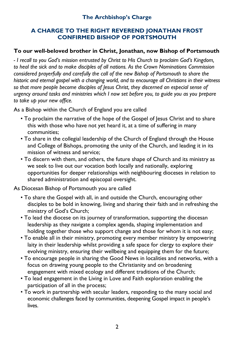# **The Archbishop's Charge**

# **A CHARGE TO THE RIGHT REVEREND JONATHAN FROST CONFIRMED BISHOP OF PORTSMOUTH**

## **To our well-beloved brother in Christ, Jonathan, now Bishop of Portsmouth**

*- I recall to you God's mission entrusted by Christ to His Church to proclaim God's Kingdom, to heal the sick and to make disciples of all nations. As the Crown Nominations Commission considered prayerfully and carefully the call of the new Bishop of Portsmouth to share the historic and eternal gospel with a changing world, and to encourage all Christians in their witness so that more people become disciples of Jesus Christ, they discerned an especial sense of urgency around tasks and ministries which I now set before you, to guide you as you prepare to take up your new office.*

As a Bishop within the Church of England you are called

- To proclaim the narrative of the hope of the Gospel of Jesus Christ and to share this with those who have not yet heard it, at a time of suffering in many communities;
- To share in the collegial leadership of the Church of England through the House and College of Bishops, promoting the unity of the Church, and leading it in its mission of witness and service;
- To discern with them, and others, the future shape of Church and its ministry as we seek to live out our vocation both locally and nationally, exploring opportunities for deeper relationships with neighbouring dioceses in relation to shared administration and episcopal oversight.

## As Diocesan Bishop of Portsmouth you are called

- To share the Gospel with all, in and outside the Church, encouraging other disciples to be bold in knowing, living and sharing their faith and in refreshing the ministry of God's Church;
- To lead the diocese on its journey of transformation, supporting the diocesan leadership as they navigate a complex agenda, shaping implementation and holding together those who support change and those for whom it is not easy;
- To enable all in their ministry, promoting every member ministry by empowering laity in their leadership whilst providing a safe space for clergy to explore their evolving ministry, ensuring their wellbeing and equipping them for the future;
- To encourage people in sharing the Good News in localities and networks, with a focus on drawing young people to the Christianity and on broadening engagement with mixed ecology and different traditions of the Church;
- To lead engagement in the Living in Love and Faith exploration enabling the participation of all in the process;
- To work in partnership with secular leaders, responding to the many social and economic challenges faced by communities, deepening Gospel impact in people's lives.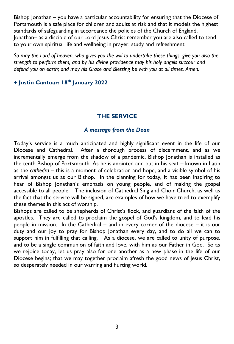Bishop Jonathan – you have a particular accountability for ensuring that the Diocese of Portsmouth is a safe place for children and adults at risk and that it models the highest standards of safeguarding in accordance the policies of the Church of England. Jonathan– as a disciple of our Lord Jesus Christ remember you are also called to tend to your own spiritual life and wellbeing in prayer, study and refreshment.

*So may the Lord of heaven, who gives you the will to undertake these things, give you also the strength to perform them, and by his divine providence may his holy angels succour and defend you on earth; and may his Grace and Blessing be with you at all times. Amen.* 

## **+ Justin Cantuar: 18th January 2022**

## **THE SERVICE**

#### *A message from the Dean*

Today's service is a much anticipated and highly significant event in the life of our Diocese and Cathedral. After a thorough process of discernment, and as we incrementally emerge from the shadow of a pandemic, Bishop Jonathan is installed as the tenth Bishop of Portsmouth. As he is anointed and put in his seat – known in Latin as the *cathedra* – this is a moment of celebration and hope, and a visible symbol of his arrival amongst us as our Bishop. In the planning for today, it has been inspiring to hear of Bishop Jonathan's emphasis on young people, and of making the gospel accessible to all people. The inclusion of Cathedral Sing and Choir Church, as well as the fact that the service will be signed, are examples of how we have tried to exemplify these themes in this act of worship.

Bishops are called to be shepherds of Christ's flock, and guardians of the faith of the apostles. They are called to proclaim the gospel of God's kingdom, and to lead his people in mission. In the Cathedral – and in every corner of the diocese – it is our duty and our joy to pray for Bishop Jonathan every day, and to do all we can to support him in fulfilling that calling. As a diocese, we are called to unity of purpose, and to be a single communion of faith and love, with him as our Father in God. So as we rejoice today, let us pray also for one another as a new phase in the life of our Diocese begins; that we may together proclaim afresh the good news of Jesus Christ, so desperately needed in our warring and hurting world.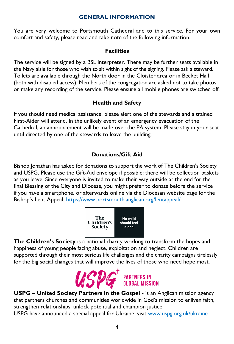# **GENERAL INFORMATION**

You are very welcome to Portsmouth Cathedral and to this service. For your own comfort and safety, please read and take note of the following information.

# **Facilities**

The service will be signed by a BSL interpreter. There may be further seats available in the Navy aisle for those who wish to sit within sight of the signing. Please ask a steward. Toilets are available through the North door in the Cloister area or in Becket Hall (both with disabled access). Members of the congregation are asked not to take photos or make any recording of the service. Please ensure all mobile phones are switched off.

# **Health and Safety**

If you should need medical assistance, please alert one of the stewards and a trained First-Aider will attend. In the unlikely event of an emergency evacuation of the Cathedral, an announcement will be made over the PA system. Please stay in your seat until directed by one of the stewards to leave the building.

# **Donations/Gift Aid**

Bishop Jonathan has asked for donations to support the work of The Children's Society and USPG. Please use the Gift-Aid envelope if possible: there will be collection baskets as you leave. Since everyone is invited to make their way outside at the end for the final Blessing of the City and Diocese, you might prefer to donate before the service if you have a smartphone, or afterwards online via the Diocesan website page for the Bishop's Lent Appeal: [https://www.portsmouth.anglican.org/lentappeal/](https://protect-eu.mimecast.com/s/tHyaCqx69HODgKFZIHS4?domain=portsmouth.anglican.org/)



**The Children's Society** is a national charity working to transform the hopes and happiness of young people facing abuse, exploitation and neglect. Children are supported through their most serious life challenges and the charity campaigns tirelessly for the big social changes that will improve the lives of those who need hope most.



**USPG – United Society Partners in the Gospel -** is an Anglican mission agency that partners churches and communities worldwide in God's mission to enliven faith, strengthen relationships, unlock potential and champion justice.

USPG have announced a special appeal for Ukraine: visit www.uspg.org.uk/ukraine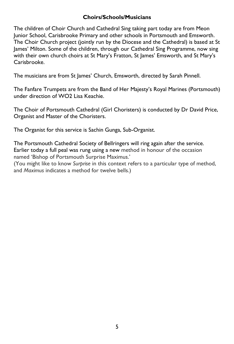## **Choirs/Schools/Musicians**

The children of Choir Church and Cathedral Sing taking part today are from Meon Junior School, Carisbrooke Primary and other schools in Portsmouth and Emsworth. The Choir Church project (jointly run by the Diocese and the Cathedral) is based at St James' Milton. Some of the children, through our Cathedral Sing Programme, now sing with their own church choirs at St Mary's Fratton, St James' Emsworth, and St Mary's Carisbrooke.

The musicians are from St James' Church, Emsworth, directed by Sarah Pinnell.

The Fanfare Trumpets are from the Band of Her Majesty's Royal Marines (Portsmouth) under direction of WO2 Lisa Keachie.

The Choir of Portsmouth Cathedral (Girl Choristers) is conducted by Dr David Price, Organist and Master of the Choristers.

The Organist for this service is Sachin Gunga, Sub-Organist.

The Portsmouth Cathedral Society of Bellringers will ring again after the service. Earlier today a full peal was rung using a new method in honour of the occasion named 'Bishop of Portsmouth Surprise Maximus.'

(You might like to know *Surprise* in this context refers to a particular type of method, and *Maximus* indicates a method for twelve bells.)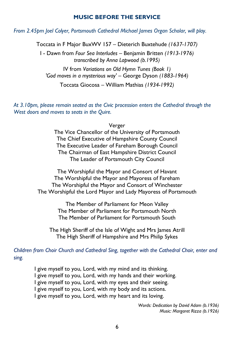#### **MUSIC BEFORE THE SERVICE**

*From 2.45pm Joel Colyer, Portsmouth Cathedral Michael James Organ Scholar, will play.*

Toccata in F Major BuxWV 157 – Dieterich Buxtehude *(1637-1707)*

I - Dawn from *Four Sea Interludes* – Benjamin Britten *(1913-1976) transcribed by Anna Lapwood (b.1995)*

IV from *Variations on Old Hymn Tunes (Book 1) 'God moves in a mysterious way'* – George Dyson *(1883-1964)*

Toccata Giocosa – William Mathias *(1934-1992)*

*At 3.10pm, please remain seated as the Civic procession enters the Cathedral through the West doors and moves to seats in the Quire.*

Verger

The Vice Chancellor of the University of Portsmouth The Chief Executive of Hampshire County Council The Executive Leader of Fareham Borough Council The Chairman of East Hampshire District Council The Leader of Portsmouth City Council

The Worshipful the Mayor and Consort of Havant The Worshipful the Mayor and Mayoress of Fareham The Worshipful the Mayor and Consort of Winchester The Worshipful the Lord Mayor and Lady Mayoress of Portsmouth

> The Member of Parliament for Meon Valley The Member of Parliament for Portsmouth North The Member of Parliament for Portsmouth South

The High Sheriff of the Isle of Wight and Mrs James Atrill The High Sheriff of Hampshire and Mrs Philip Sykes

*Children from Choir Church and Cathedral Sing, together with the Cathedral Choir, enter and sing.*

I give myself to you, Lord, with my mind and its thinking.

I give myself to you, Lord, with my hands and their working.

I give myself to you, Lord, with my eyes and their seeing.

I give myself to you, Lord, with my body and its actions.

I give myself to you, Lord, with my heart and its loving.

*Words: Dedication by David Adam (b.1936) Music: Margaret Rizza (b.1926)*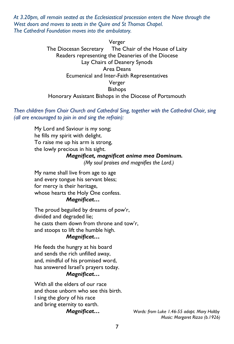*At 3.20pm, all remain seated as the Ecclesiastical procession enters the Nave through the West doors and moves to seats in the Quire and St Thomas Chapel. The Cathedral Foundation moves into the ambulatory.*

> Verger The Diocesan Secretary The Chair of the House of Laity Readers representing the Deaneries of the Diocese Lay Chairs of Deanery Synods Area Deans Ecumenical and Inter-Faith Representatives Verger Bishops Honorary Assistant Bishops in the Diocese of Portsmouth

*Then children from Choir Church and Cathedral Sing, together with the Cathedral Choir, sing (all are encouraged to join in and sing the refrain):*

> My Lord and Saviour is my song; he fills my spirit with delight. To raise me up his arm is strong, the lowly precious in his sight.

#### *Magnificat, magnificat anima mea Dominum.*

*(My soul praises and magnifies the Lord.)*

My name shall live from age to age and every tongue his servant bless; for mercy is their heritage, whose hearts the Holy One confess.

## *Magnificat…*

The proud beguiled by dreams of pow'r, divided and degraded lie; he casts them down from throne and tow'r, and stoops to lift the humble high.

#### *Magnificat…*

He feeds the hungry at his board and sends the rich unfilled away, and, mindful of his promised word, has answered Israel's prayers today.

## *Magnificat…*

With all the elders of our race and those unborn who see this birth. I sing the glory of his race and bring eternity to earth.

*Magnificat… Words: from Luke 1.46-55 adapt. Mary Holtby Music: Margaret Rizza (b.1926)*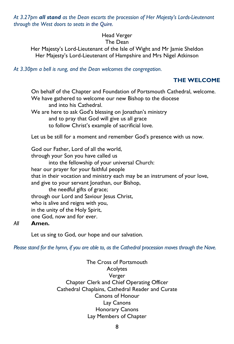*At 3.27pm all stand as the Dean escorts the procession of Her Majesty's Lords-Lieutenant through the West doors to seats in the Quire.*

# Head Verger

## The Dean

Her Majesty's Lord-Lieutenant of the Isle of Wight and Mr Jamie Sheldon Her Majesty's Lord-Lieutenant of Hampshire and Mrs Nigel Atkinson

*At 3.30pm a bell is rung, and the Dean welcomes the congregation.*

## **THE WELCOME**

On behalf of the Chapter and Foundation of Portsmouth Cathedral, welcome. We have gathered to welcome our new Bishop to the diocese and into his Cathedral.

We are here to ask God's blessing on Jonathan's ministry and to pray that God will give us all grace to follow Christ's example of sacrificial love.

Let us be still for a moment and remember God's presence with us now.

God our Father, Lord of all the world,

through your Son you have called us

into the fellowship of your universal Church:

hear our prayer for your faithful people

that in their vocation and ministry each may be an instrument of your love, and give to your servant Jonathan, our Bishop,

the needful gifts of grace; through our Lord and Saviour Jesus Christ, who is alive and reigns with you, in the unity of the Holy Spirit, one God, now and for ever.

#### *All* **Amen.**

Let us sing to God, our hope and our salvation.

*Please stand for the hymn, if you are able to, as the Cathedral procession moves through the Nave.*

The Cross of Portsmouth Acolytes Verger Chapter Clerk and Chief Operating Officer Cathedral Chaplains, Cathedral Reader and Curate Canons of Honour Lay Canons Honorary Canons Lay Members of Chapter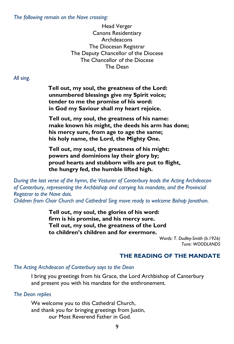#### *The following remain on the Nave crossing:*

Head Verger Canons Residentiary **Archdeacons** The Diocesan Registrar The Deputy Chancellor of the Diocese The Chancellor of the Diocese The Dean

*All sing.*

**Tell out, my soul, the greatness of the Lord: unnumbered blessings give my Spirit voice; tender to me the promise of his word: in God my Saviour shall my heart rejoice.**

**Tell out, my soul, the greatness of his name: make known his might, the deeds his arm has done; his mercy sure, from age to age the same; his holy name, the Lord, the Mighty One.**

**Tell out, my soul, the greatness of his might: powers and dominions lay their glory by; proud hearts and stubborn wills are put to flight, the hungry fed, the humble lifted high.**

*During the last verse of the hymn, the Vesturer of Canterbury leads the Acting Archdeacon of Canterbury, representing the Archbishop and carrying his mandate, and the Provincial Registrar to the Nave dais.*

*Children from Choir Church and Cathedral Sing move ready to welcome Bishop Jonathan.*

**Tell out, my soul, the glories of his word: firm is his promise, and his mercy sure. Tell out, my soul, the greatness of the Lord to children's children and for evermore.**

> *Words: T. Dudley-Smith (b.1926) Tune: WOODLANDS*

## **THE READING OF THE MANDATE**

#### *The Acting Archdeacon of Canterbury says to the Dean*

I bring you greetings from his Grace, the Lord Archbishop of Canterbury and present you with his mandate for the enthronement.

*The Dean replies*

We welcome you to this Cathedral Church, and thank you for bringing greetings from Justin, our Most Reverend Father in God.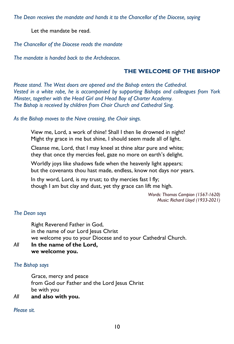*The Dean receives the mandate and hands it to the Chancellor of the Diocese, saying*

Let the mandate be read.

*The Chancellor of the Diocese reads the mandate*

*The mandate is handed back to the Archdeacon.*

## **THE WELCOME OF THE BISHOP**

*Please stand. The West doors are opened and the Bishop enters the Cathedral. Vested in a white robe, he is accompanied by supporting Bishops and colleagues from York Minster, together with the Head Girl and Head Boy of Charter Academy. The Bishop is received by children from Choir Church and Cathedral Sing.*

*As the Bishop moves to the Nave crossing, the Choir sings.*

View me, Lord, a work of thine! Shall I then lie drowned in night? Might thy grace in me but shine, I should seem made all of light.

Cleanse me, Lord, that I may kneel at thine altar pure and white; they that once thy mercies feel, gaze no more on earth's delight.

Worldly joys like shadows fade when the heavenly light appears; but the covenants thou hast made, endless, know not days nor years.

In thy word, Lord, is my trust; to thy mercies fast I fly; though I am but clay and dust, yet thy grace can lift me high.

> *Words: Thomas Campion (1567-1620) Music: Richard Lloyd (1933-2021)*

#### *The Dean says*

Right Reverend Father in God, in the name of our Lord Jesus Christ we welcome you to your Diocese and to your Cathedral Church.

#### *All* **In the name of the Lord, we welcome you.**

#### *The Bishop says*

Grace, mercy and peace from God our Father and the Lord Jesus Christ be with you

*All* **and also with you.**

*Please sit.*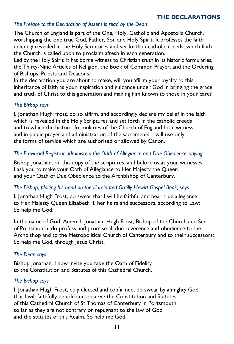## **THE DECLARATIONS**

## *The Preface to the Declaration of Assent is read by the Dean*

The Church of England is part of the One, Holy, Catholic and Apostolic Church, worshipping the one true God, Father, Son and Holy Spirit. It professes the faith uniquely revealed in the Holy Scriptures and set forth in catholic creeds, which faith the Church is called upon to proclaim afresh in each generation.

Led by the Holy Spirit, it has borne witness to Christian truth in its historic formularies, the Thirty-Nine Articles of Religion, the Book of Common Prayer, and the Ordering of Bishops, Priests and Deacons.

In the declaration you are about to make, will you affirm your loyalty to this inheritance of faith as your inspiration and guidance under God in bringing the grace and truth of Christ to this generation and making him known to those in your care?

#### *The Bishop says*

I, Jonathan Hugh Frost, do so affirm, and accordingly declare my belief in the faith which is revealed in the Holy Scriptures and set forth in the catholic creeds and to which the historic formularies of the Church of England bear witness; and in public prayer and administration of the sacraments, I will use only the forms of service which are authorised or allowed by Canon.

### *The Provincial Registrar administers the Oath of Allegiance and Due Obedience, saying*

Bishop Jonathan, on this copy of the scriptures, and before us as your witnesses, I ask you to make your Oath of Allegiance to Her Majesty the Queen and your Oath of Due Obedience to the Archbishop of Canterbury.

## *The Bishop, placing his hand on the illuminated Grailly-Hewitt Gospel Book, says*

I, Jonathan Hugh Frost, do swear that I will be faithful and bear true allegiance to Her Majesty Queen Elizabeth II, her heirs and successors, according to Law: So help me God.

In the name of God. Amen. I, Jonathan Hugh Frost, Bishop of the Church and See of Portsmouth, do profess and promise all due reverence and obedience to the Archbishop and to the Metropolitical Church of Canterbury and to their successors: So help me God, through Jesus Christ.

#### *The Dean says*

Bishop Jonathan, I now invite you take the Oath of Fidelity to the Constitution and Statutes of this Cathedral Church.

## *The Bishop says*

I, Jonathan Hugh Frost, duly elected and confirmed, do swear by almighty God that I will faithfully uphold and observe the Constitution and Statutes of this Cathedral Church of St Thomas of Canterbury in Portsmouth, so far as they are not contrary or repugnant to the law of God and the statutes of this Realm. So help me God.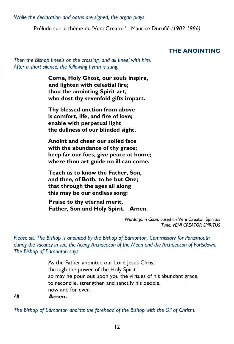*While the declaration and oaths are signed, the organ plays*

Prélude sur le thème du 'Veni Creator' - Maurice Duruflé *(1902-1986)*

# **THE ANOINTING**

*Then the Bishop kneels on the crossing, and all kneel with him. After a short silence, the following hymn is sung.* 

> **Come, Holy Ghost, our souls inspire, and lighten with celestial fire; thou the anointing Spirit art, who dost thy sevenfold gifts impart.**

**Thy blessed unction from above is comfort, life, and fire of love; enable with perpetual light the dullness of our blinded sight.**

**Anoint and cheer our soilèd face with the abundance of thy grace; keep far our foes, give peace at home; where thou art guide no ill can come.**

**Teach us to know the Father, Son, and thee, of Both, to be but One; that through the ages all along this may be our endless song:**

**Praise to thy eternal merit, Father, Son and Holy Spirit. Amen.**

> *Words: John Cosin, based on* Veni Creator Spiritus *Tune: VENI CREATOR SPIRITUS*

*Please sit. The Bishop is anointed by the Bishop of Edmonton, Commissary for Portsmouth during the vacancy in see, the Acting Archdeacon of the Meon and the Archdeacon of Portsdown. The Bishop of Edmonton says*

> As the Father anointed our Lord Jesus Christ through the power of the Holy Spirit so may he pour out upon you the virtues of his abundant grace, to reconcile, strengthen and sanctify his people, now and for ever.

*All* **Amen.**

*The Bishop of Edmonton anoints the forehead of the Bishop with the Oil of Chrism.*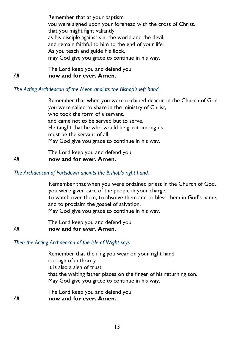Remember that at your baptism you were signed upon your forehead with the cross of Christ, that you might fight valiantly as his disciple against sin, the world and the devil, and remain faithful to him to the end of your life. As you teach and guide his flock, may God give you grace to continue in his way.

The Lord keep you and defend you *All* **now and for ever. Amen.**

## *The Acting Archdeacon of the Meon anoints the Bishop's left hand.*

Remember that when you were ordained deacon in the Church of God you were called to share in the ministry of Christ, who took the form of a servant, and came not to be served but to serve. He taught that he who would be great among us must be the servant of all. May God give you grace to continue in his way.

#### The Lord keep you and defend you *All* **now and for ever. Amen.**

## *The Archdeacon of Portsdown anoints the Bishop's right hand.*

Remember that when you were ordained priest in the Church of God, you were given care of the people in your charge: to watch over them, to absolve them and to bless them in God's name, and to proclaim the gospel of salvation. May God give you grace to continue in his way.

The Lord keep you and defend you *All* **now and for ever. Amen.**

## *Then the Acting Archdeacon of the Isle of Wight says*

Remember that the ring you wear on your right hand is a sign of authority. It is also a sign of trust that the waiting father places on the finger of his returning son. May God give you grace to continue in his way.

The Lord keep you and defend you *All* **now and for ever. Amen.**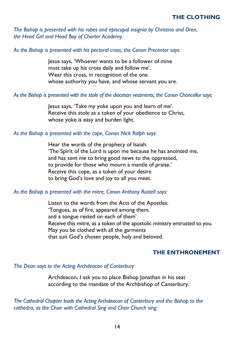## **THE CLOTHING**

*The Bishop is presented with his robes and episcopal insignia by Christina and Oren, the Head Girl and Head Boy of Charter Academy.*

*As the Bishop is presented with his pectoral cross, the Canon Precentor says:*

Jesus says, 'Whoever wants to be a follower of mine must take up his cross daily and follow me'. Wear this cross, in recognition of the one whose authority you have, and whose servant you are.

#### *As the Bishop is presented with the stole of the diocesan vestments, the Canon Chancellor says:*

Jesus says, 'Take my yoke upon you and learn of me'. Receive this stole as a token of your obedience to Christ, whose yoke is easy and burden light.

#### *As the Bishop is presented with the cope, Canon Nick Ralph says:*

Hear the words of the prophecy of Isaiah: 'The Spirit of the Lord is upon me because he has anointed me, and has sent me to bring good news to the oppressed, to provide for those who mourn a mantle of praise.' Receive this cope, as a token of your desire to bring God's love and joy to all you meet.

#### *As the Bishop is presented with the mitre, Canon Anthony Rustell says:*

Listen to the words from the Acts of the Apostles: 'Tongues, as of fire, appeared among them, and a tongue rested on each of them'. Receive this mitre, as a token of the apostolic ministry entrusted to you. May you be clothed with all the garments that suit God's chosen people, holy and beloved.

#### **THE ENTHRONEMENT**

#### *The Dean says to the Acting Archdeacon of Canterbury*

Archdeacon, I ask you to place Bishop Jonathan in his seat according to the mandate of the Archbishop of Canterbury.

*The Cathedral Chapter leads the Acting Archdeacon of Canterbury and the Bishop to the cathedra, as the Choir with Cathedral Sing and Choir Church sing.*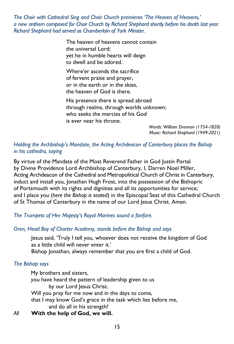*The Choir with Cathedral Sing and Choir Church premieres 'The Heaven of Heavens,' a new anthem composed for Choir Church by Richard Shephard shortly before his death last year. Richard Shephard had served as Chamberlain of York Minster.*

> The heaven of heavens cannot contain the universal Lord; yet he in humble hearts will deign to dwell and be adored.

Where'er ascends the sacrifice of fervent praise and prayer, or in the earth or in the skies, the heaven of God is there.

His presence there is spread abroad through realms, through worlds unknown; who seeks the mercies of his God is ever near his throne.

> *Words: William Drennan (1754-1820) Music: Richard Shephard (1949-2021)*

*Holding the Archbishop's Mandate, the Acting Archdeacon of Canterbury places the Bishop in his cathedra, saying*

By virtue of the Mandate of the Most Reverend Father in God Justin Portal by Divine Providence Lord Archbishop of Canterbury, I, Darren Noel Miller, Acting Archdeacon of the Cathedral and Metropolitical Church of Christ in Canterbury, induct and install you, Jonathan Hugh Frost, into the possession of the Bishopric of Portsmouth with its rights and dignities and all its opportunities for service; and I place you (*here the Bishop is seated*) in the Episcopal Seat of this Cathedral Church of St Thomas of Canterbury in the name of our Lord Jesus Christ. Amen.

*The Trumpets of Her Majesty's Royal Marines sound a fanfare.*

## *Oren, Head Boy of Charter Academy, stands before the Bishop and says*

Jesus said, 'Truly I tell you, whoever does not receive the kingdom of God as a little child will never enter it.' Bishop Jonathan, always remember that you are first a child of God.

#### *The Bishop says*

My brothers and sisters, you have heard the pattern of leadership given to us by our Lord Jesus Christ. Will you pray for me now and in the days to come, that I may know God's grace in the task which lies before me, and do all in his strength?

*All* **With the help of God, we will.**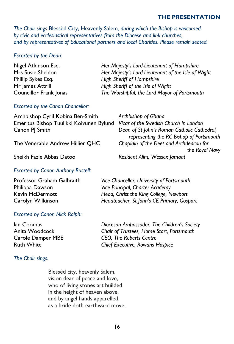## **THE PRESENTATION**

*The Choir sings* Blessèd City, Heavenly Salem*, during which the Bishop is welcomed by civic and ecclesiastical representatives from the Diocese and link churches, and by representatives of Educational partners and local Charities. Please remain seated.*

# *Escorted by the Dean:*

| Nigel Atkinson Esq.    |
|------------------------|
| Mrs Susie Sheldon      |
| Phillip Sykes Esq.     |
| Mr James Attrill       |
| Councillor Frank Jonas |

Her Majesty's Lord-Lieutenant of Hampshire Her Majesty's Lord-Lieutenant of the Isle of Wight **High Sheriff of Hampshire** High Sheriff of the Isle of Wight The Worshipful, the Lord Mayor of Portsmouth

# *Escorted by the Canon Chancellor:*

| Archbishop Cyril Kobina Ben-Smith        | Archbishop of Ghana                         |
|------------------------------------------|---------------------------------------------|
| Emeritus Bishop Tuulikki Koivunen Bylund | Vicar of the Swedish Church in London       |
| Canon PJ Smith                           | Dean of St John's Roman Catholic Cathedral, |
|                                          | representing the RC Bishop of Portsmouth    |
| The Venerable Andrew Hillier QHC         | Chaplain of the Fleet and Archdeacon for    |
|                                          | the Royal Navy                              |
| Sheikh Fazle Abbas Datoo                 | Resident Alim, Wessex Jamaat                |
|                                          |                                             |

#### *Escorted by Canon Anthony Rustell:*

| Vice-Chancellor, University of Portsmouth  |
|--------------------------------------------|
| Vice Principal, Charter Academy            |
| Head, Christ the King College, Newport     |
| Headteacher, St John's CE Primary, Gosport |
|                                            |

## *Escorted by Canon Nick Ralph:*

Ian Coombs *Diocesan Ambassador, The Children's Society* Anita Woodcock *Chair of Trustees, Home Start, Portsmouth* Carole Damper MBE *CEO, The Roberts Centre* Ruth White *Chief Executive, Rowans Hospice*

## *The Choir sings.*

Blessèd city, heavenly Salem, vision dear of peace and love, who of living stones art builded in the height of heaven above, and by angel hands apparelled, as a bride doth earthward move.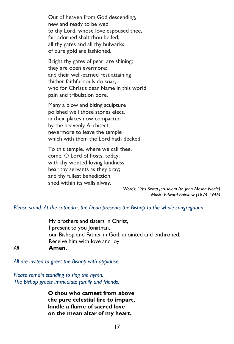Out of heaven from God descending, new and ready to be wed to thy Lord, whose love espoused thee, fair adorned shalt thou be led; all thy gates and all thy bulwarks of pure gold are fashionèd.

Bright thy gates of pearl are shining; they are open evermore; and their well-earned rest attaining thither faithful souls do soar, who for Christ's dear Name in this world pain and tribulation bore.

Many a blow and biting sculpture polished well those stones elect, in their places now compacted by the heavenly Architect, nevermore to leave the temple which with them the Lord hath decked.

To this temple, where we call thee, come, O Lord of hosts, today; with thy wonted loving kindness, hear thy servants as they pray; and thy fullest benediction shed within its walls alway.

> *Words: Urbs Beata Jerusalem (tr. John Mason Neale) Music: Edward Bairstow (1874-1946)*

*Please stand. At the cathedra, the Dean presents the Bishop to the whole congregation.*

My brothers and sisters in Christ, I present to you Jonathan, our Bishop and Father in God, anointed and enthroned. Receive him with love and joy.

*All* **Amen.**

*All are invited to greet the Bishop with applause.*

*Please remain standing to sing the hymn. The Bishop greets immediate family and friends.*

> **O thou who camest from above the pure celestial fire to impart, kindle a flame of sacred love on the mean altar of my heart.**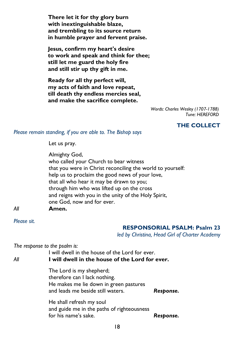**There let it for thy glory burn with inextinguishable blaze, and trembling to its source return in humble prayer and fervent praise.**

**Jesus, confirm my heart's desire to work and speak and think for thee; still let me guard the holy fire and still stir up thy gift in me.**

**Ready for all thy perfect will, my acts of faith and love repeat, till death thy endless mercies seal, and make the sacrifice complete.** 

> *Words: Charles Wesley (1707-1788) Tune: HEREFORD*

#### **THE COLLECT**

*Please remain standing, if you are able to. The Bishop says*

Let us pray.

Almighty God, who called your Church to bear witness that you were in Christ reconciling the world to yourself: help us to proclaim the good news of your love, that all who hear it may be drawn to you; through him who was lifted up on the cross and reigns with you in the unity of the Holy Spirit, one God, now and for ever. *All* **Amen.**

#### *Please sit.*

## **RESPONSORIAL PSALM: Psalm 23**

 *led by Christina, Head Girl of Charter Academy*

*The response to the psalm is:*

I will dwell in the house of the Lord for ever. *All* **I will dwell in the house of the Lord for ever.**

> The Lord is my shepherd; therefore can I lack nothing. He makes me lie down in green pastures and leads me beside still waters. *Response.*

> He shall refresh my soul and guide me in the paths of righteousness for his name's sake. *Response.*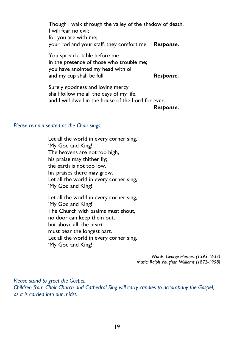Though I walk through the valley of the shadow of death, I will fear no evil; for you are with me; your rod and your staff, they comfort me. *Response.*

 You spread a table before me in the presence of those who trouble me; you have anointed my head with oil and my cup shall be full. **Response.** 

Surely goodness and loving mercy shall follow me all the days of my life, and I will dwell in the house of the Lord for ever.

*Response.*

#### *Please remain seated as the Choir sings.*

Let all the world in every corner sing, 'My God and King!' The heavens are not too high, his praise may thither fly; the earth is not too low, his praises there may grow. Let all the world in every corner sing, 'My God and King!'

Let all the world in every corner sing, 'My God and King!' The Church with psalms must shout, no door can keep them out, but above all, the heart must bear the longest part. Let all the world in every corner sing. 'My God and King!'

> *Words: George Herbert (1593-1632) Music: Ralph Vaughan Williams (1872-1958)*

*Please stand to greet the Gospel. Children from Choir Church and Cathedral Sing will carry candles to accompany the Gospel, as it is carried into our midst.*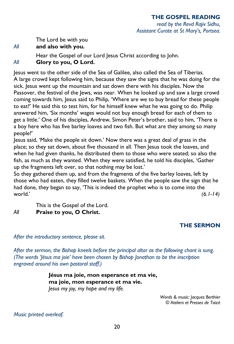*read by the Revd Rajiv Sidhu, Assistant Curate at St Mary's, Portsea.*

The Lord be with you

## *All* **and also with you.**

Hear the Gospel of our Lord Jesus Christ according to John. *All* **Glory to you, O Lord.**

Jesus went to the other side of the Sea of Galilee, also called the Sea of Tiberias. A large crowd kept following him, because they saw the signs that he was doing for the sick. Jesus went up the mountain and sat down there with his disciples. Now the Passover, the festival of the Jews, was near. When he looked up and saw a large crowd coming towards him, Jesus said to Philip, 'Where are we to buy bread for these people to eat?' He said this to test him, for he himself knew what he was going to do. Philip answered him, 'Six months' wages would not buy enough bread for each of them to get a little.' One of his disciples, Andrew, Simon Peter's brother, said to him, 'There is a boy here who has five barley loaves and two fish. But what are they among so many people?'

Jesus said, 'Make the people sit down.' Now there was a great deal of grass in the place; so they sat down, about five thousand in all. Then Jesus took the loaves, and when he had given thanks, he distributed them to those who were seated; so also the fish, as much as they wanted. When they were satisfied, he told his disciples, 'Gather up the fragments left over, so that nothing may be lost.'

So they gathered them up, and from the fragments of the five barley loaves, left by those who had eaten, they filled twelve baskets. When the people saw the sign that he had done, they began to say, 'This is indeed the prophet who is to come into the world.' *(6.1-14)*

This is the Gospel of the Lord. *All* **Praise to you, O Christ.**

# **THE SERMON**

*After the introductory sentence, please sit.*

*After the sermon, the Bishop kneels before the principal altar as the following chant is sung. (The words 'Jésus ma joie' have been chosen by Bishop Jonathan to be the inscription engraved around his own pastoral staff.)*

> **Jésus ma joie, mon esperance et ma vie, ma joie, mon esperance et ma vie.** *Jesus my joy, my hope and my life.*

> > *Words & music: Jacques Berthier © Ateliers et Presses de Taizé*

*Music printed overleaf.*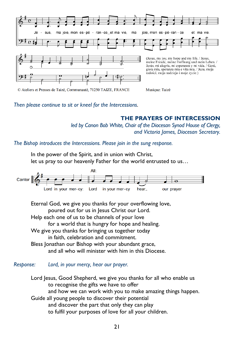

*Then please continue to sit or kneel for the Intercessions.*

**THE PRAYERS OF INTERCESSION** *led by Canon Bob White, Chair of the Diocesan Synod House of Clergy, and Victoria James, Diocesan Secretary.*

*The Bishop introduces the Intercessions. Please join in the sung response.*

In the power of the Spirit, and in union with Christ, let us pray to our heavenly Father for the world entrusted to us…



Eternal God, we give you thanks for your overflowing love, poured out for us in Jesus Christ our Lord. Help each one of us to be channels of your love for a world that is hungry for hope and healing. We give you thanks for bringing us together today in faith, celebration and commitment. Bless Jonathan our Bishop with your abundant grace, and all who will minister with him in this Diocese.

#### *Response: Lord, in your mercy, hear our prayer.*

Lord Jesus, Good Shepherd, we give you thanks for all who enable us to recognise the gifts we have to offer and how we can work with you to make amazing things happen. Guide all young people to discover their potential and discover the part that only they can play to fulfil your purposes of love for all your children.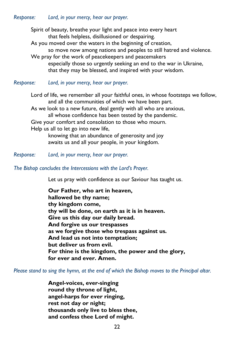#### *Response: Lord, in your mercy, hear our prayer.*

Spirit of beauty, breathe your light and peace into every heart that feels helpless, disillusioned or despairing.

As you moved over the waters in the beginning of creation, so move now among nations and peoples to still hatred and violence. We pray for the work of peacekeepers and peacemakers especially those so urgently seeking an end to the war in Ukraine, that they may be blessed, and inspired with your wisdom.

*Response: Lord, in your mercy, hear our prayer.*

Lord of life, we remember all your faithful ones, in whose footsteps we follow, and all the communities of which we have been part. As we look to a new future, deal gently with all who are anxious, all whose confidence has been tested by the pandemic. Give your comfort and consolation to those who mourn. Help us all to let go into new life, knowing that an abundance of generosity and joy awaits us and all your people, in your kingdom.

*Response: Lord, in your mercy, hear our prayer.*

#### *The Bishop concludes the Intercessions with the Lord's Prayer.*

Let us pray with confidence as our Saviour has taught us.

**Our Father, who art in heaven, hallowed be thy name; thy kingdom come, thy will be done, on earth as it is in heaven. Give us this day our daily bread. And forgive us our trespasses as we forgive those who trespass against us. And lead us not into temptation; but deliver us from evil. For thine is the kingdom, the power and the glory, for ever and ever. Amen.**

*Please stand to sing the hymn, at the end of which the Bishop moves to the Principal altar.*

**Angel-voices, ever-singing round thy throne of light, angel-harps for ever ringing, rest not day or night; thousands only live to bless thee, and confess thee Lord of might.**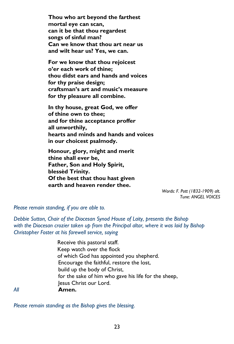**Thou who art beyond the farthest mortal eye can scan, can it be that thou regardest songs of sinful man? Can we know that thou art near us and wilt hear us? Yes, we can.**

**For we know that thou rejoicest o'er each work of thine; thou didst ears and hands and voices for thy praise design; craftsman's art and music's measure for thy pleasure all combine.**

**In thy house, great God, we offer of thine own to thee; and for thine acceptance proffer all unworthily, hearts and minds and hands and voices in our choicest psalmody.**

**Honour, glory, might and merit thine shall ever be, Father, Son and Holy Spirit, blessèd Trinity. Of the best that thou hast given earth and heaven render thee.**

> *Words: F. Pott (1832-1909) alt. Tune: ANGEL VOICES*

*Please remain standing, if you are able to.*

*Debbie Sutton, Chair of the Diocesan Synod House of Laity, presents the Bishop with the Diocesan crozier taken up from the Principal altar, where it was laid by Bishop Christopher Foster at his farewell service, saying*

Receive this pastoral staff. Keep watch over the flock of which God has appointed you shepherd. Encourage the faithful, restore the lost, build up the body of Christ, for the sake of him who gave his life for the sheep, Jesus Christ our Lord. *All* **Amen.**

*Please remain standing as the Bishop gives the blessing.*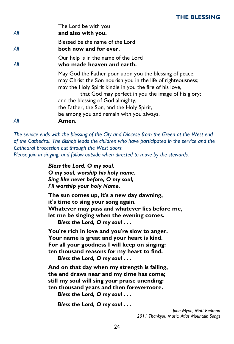## **THE BLESSING**

| All | The Lord be with you<br>and also with you.                                                                                                                                                                                                                                                                                  |
|-----|-----------------------------------------------------------------------------------------------------------------------------------------------------------------------------------------------------------------------------------------------------------------------------------------------------------------------------|
| All | Blessed be the name of the Lord<br>both now and for ever.                                                                                                                                                                                                                                                                   |
| All | Our help is in the name of the Lord<br>who made heaven and earth.                                                                                                                                                                                                                                                           |
|     | May God the Father pour upon you the blessing of peace;<br>may Christ the Son nourish you in the life of righteousness;<br>may the Holy Spirit kindle in you the fire of his love,<br>that God may perfect in you the image of his glory;<br>and the blessing of God almighty,<br>the Father, the Son, and the Holy Spirit, |
| All | be among you and remain with you always.<br>Amen.                                                                                                                                                                                                                                                                           |

*The service ends with the blessing of the City and Diocese from the Green at the West end of the Cathedral. The Bishop leads the children who have participated in the service and the Cathedral procession out through the West doors.*

*Please join in singing, and follow outside when directed to move by the stewards.*

*Bless the Lord, O my soul, O my soul, worship his holy name. Sing like never before, O my soul; I'll worship your holy Name.*

**The sun comes up, it's a new day dawning,** 

**it's time to sing your song again.** 

**Whatever may pass and whatever lies before me,** 

**let me be singing when the evening comes.**

*Bless the Lord, O my soul . . .*

**You're rich in love and you're slow to anger. Your name is great and your heart is kind. For all your goodness I will keep on singing: ten thousand reasons for my heart to find.**

*Bless the Lord, O my soul . . .* 

**And on that day when my strength is failing, the end draws near and my time has come; still my soul will sing your praise unending: ten thousand years and then forevermore.**

*Bless the Lord, O my soul . . .*

*Bless the Lord, O my soul . . .*

*Jona Myrin, Matt Redman 2011 Thankyou Music, Atlas Mountain Songs*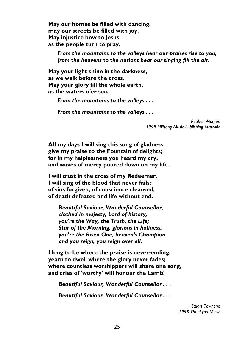**May our homes be filled with dancing, may our streets be filled with joy. May injustice bow to Jesus, as the people turn to pray.** 

*From the mountains to the valleys hear our praises rise to you, from the heavens to the nations hear our singing fill the air.* 

**May your light shine in the darkness, as we walk before the cross. May your glory fill the whole earth, as the waters o'er sea.** 

*From the mountains to the valleys . . .*

*From the mountains to the valleys . . .*

*Reuben Morgan 1998 Hillsong Music Publishing Australia*

**All my days I will sing this song of gladness, give my praise to the Fountain of delights; for in my helplessness you heard my cry, and waves of mercy poured down on my life.**

**I will trust in the cross of my Redeemer, I will sing of the blood that never fails; of sins forgiven, of conscience cleansed, of death defeated and life without end.**

*Beautiful Saviour, Wonderful Counsellor, clothed in majesty, Lord of history, you're the Way, the Truth, the Life; Star of the Morning, glorious in holiness, you're the Risen One, heaven's Champion and you reign, you reign over all.*

**I long to be where the praise is never-ending, yearn to dwell where the glory never fades; where countless worshippers will share one song, and cries of 'worthy' will honour the Lamb!**

*Beautiful Saviour, Wonderful Counsellor . . .*

*Beautiful Saviour, Wonderful Counsellor . . .*

*Stuart Townend 1998 Thankyou Music*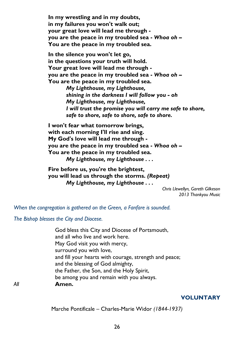**In my wrestling and in my doubts, in my failures you won't walk out; your great love will lead me through you are the peace in my troubled sea -** *Whoa oh –* **You are the peace in my troubled sea.**

**In the silence you won't let go, in the questions your truth will hold. Your great love will lead me through you are the peace in my troubled sea -** *Whoa oh –* **You are the peace in my troubled sea.**

*My Lighthouse, my Lighthouse, shining in the darkness I will follow you - oh My Lighthouse, my Lighthouse, I will trust the promise you will carry me safe to shore, safe to shore, safe to shore, safe to shore.*

**I won't fear what tomorrow brings, with each morning I'll rise and sing. My God's love will lead me through you are the peace in my troubled sea -** *Whoa oh –* **You are the peace in my troubled sea.** *My Lighthouse, my Lighthouse . . .*

**Fire before us, you're the brightest, you will lead us through the storms.** *(Repeat) My Lighthouse, my Lighthouse . . .* 

> *Chris Llewellyn, Gareth Gilkeson 2013 Thankyou Music*

*When the congregation is gathered on the Green, a Fanfare is sounded.*

*The Bishop blesses the City and Diocese.*

God bless this City and Diocese of Portsmouth, and all who live and work here. May God visit you with mercy, surround you with love, and fill your hearts with courage, strength and peace; and the blessing of God almighty, the Father, the Son, and the Holy Spirit, be among you and remain with you always. *All* **Amen.**

#### **VOLUNTARY**

Marche Pontificale – Charles-Marie Widor *(1844-1937)*